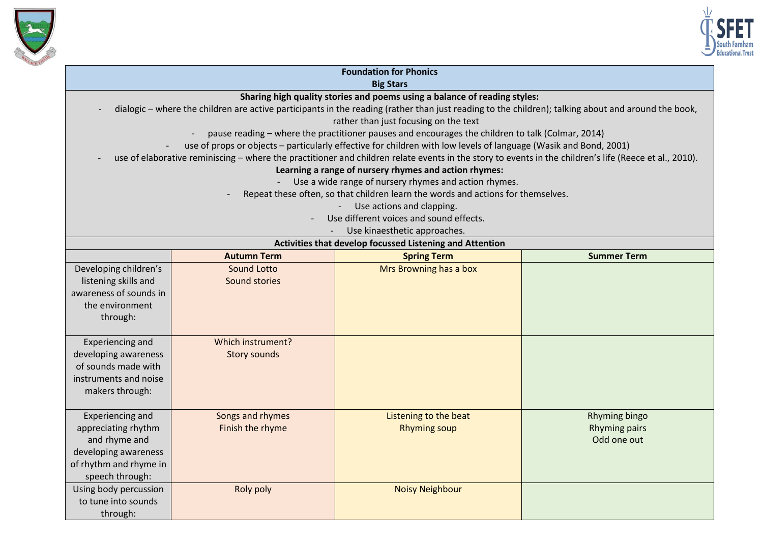



| <b>Foundation for Phonics</b>                                                                                                                                                                |                                                                                                                                                        |                                                       |                      |  |  |  |
|----------------------------------------------------------------------------------------------------------------------------------------------------------------------------------------------|--------------------------------------------------------------------------------------------------------------------------------------------------------|-------------------------------------------------------|----------------------|--|--|--|
| <b>Big Stars</b>                                                                                                                                                                             |                                                                                                                                                        |                                                       |                      |  |  |  |
| Sharing high quality stories and poems using a balance of reading styles:                                                                                                                    |                                                                                                                                                        |                                                       |                      |  |  |  |
| dialogic - where the children are active participants in the reading (rather than just reading to the children); talking about and around the book,<br>rather than just focusing on the text |                                                                                                                                                        |                                                       |                      |  |  |  |
| pause reading - where the practitioner pauses and encourages the children to talk (Colmar, 2014)                                                                                             |                                                                                                                                                        |                                                       |                      |  |  |  |
| use of props or objects - particularly effective for children with low levels of language (Wasik and Bond, 2001)                                                                             |                                                                                                                                                        |                                                       |                      |  |  |  |
|                                                                                                                                                                                              | use of elaborative reminiscing - where the practitioner and children relate events in the story to events in the children's life (Reece et al., 2010). |                                                       |                      |  |  |  |
|                                                                                                                                                                                              |                                                                                                                                                        | Learning a range of nursery rhymes and action rhymes: |                      |  |  |  |
|                                                                                                                                                                                              |                                                                                                                                                        | Use a wide range of nursery rhymes and action rhymes. |                      |  |  |  |
|                                                                                                                                                                                              | Repeat these often, so that children learn the words and actions for themselves.                                                                       |                                                       |                      |  |  |  |
| Use actions and clapping.                                                                                                                                                                    |                                                                                                                                                        |                                                       |                      |  |  |  |
| Use different voices and sound effects.                                                                                                                                                      |                                                                                                                                                        |                                                       |                      |  |  |  |
| Use kinaesthetic approaches.                                                                                                                                                                 |                                                                                                                                                        |                                                       |                      |  |  |  |
| Activities that develop focussed Listening and Attention                                                                                                                                     |                                                                                                                                                        |                                                       |                      |  |  |  |
|                                                                                                                                                                                              | <b>Autumn Term</b>                                                                                                                                     | <b>Spring Term</b>                                    | <b>Summer Term</b>   |  |  |  |
| Developing children's                                                                                                                                                                        | <b>Sound Lotto</b>                                                                                                                                     | Mrs Browning has a box                                |                      |  |  |  |
| listening skills and                                                                                                                                                                         | Sound stories                                                                                                                                          |                                                       |                      |  |  |  |
| awareness of sounds in                                                                                                                                                                       |                                                                                                                                                        |                                                       |                      |  |  |  |
| the environment                                                                                                                                                                              |                                                                                                                                                        |                                                       |                      |  |  |  |
| through:                                                                                                                                                                                     |                                                                                                                                                        |                                                       |                      |  |  |  |
|                                                                                                                                                                                              |                                                                                                                                                        |                                                       |                      |  |  |  |
| Experiencing and                                                                                                                                                                             | Which instrument?                                                                                                                                      |                                                       |                      |  |  |  |
| developing awareness                                                                                                                                                                         | <b>Story sounds</b>                                                                                                                                    |                                                       |                      |  |  |  |
| of sounds made with                                                                                                                                                                          |                                                                                                                                                        |                                                       |                      |  |  |  |
| instruments and noise                                                                                                                                                                        |                                                                                                                                                        |                                                       |                      |  |  |  |
| makers through:                                                                                                                                                                              |                                                                                                                                                        |                                                       |                      |  |  |  |
|                                                                                                                                                                                              |                                                                                                                                                        |                                                       |                      |  |  |  |
| Experiencing and                                                                                                                                                                             | Songs and rhymes                                                                                                                                       | Listening to the beat                                 | <b>Rhyming bingo</b> |  |  |  |
| appreciating rhythm                                                                                                                                                                          | Finish the rhyme                                                                                                                                       | <b>Rhyming soup</b>                                   | <b>Rhyming pairs</b> |  |  |  |
| and rhyme and                                                                                                                                                                                |                                                                                                                                                        |                                                       | Odd one out          |  |  |  |
| developing awareness                                                                                                                                                                         |                                                                                                                                                        |                                                       |                      |  |  |  |
| of rhythm and rhyme in                                                                                                                                                                       |                                                                                                                                                        |                                                       |                      |  |  |  |
| speech through:                                                                                                                                                                              |                                                                                                                                                        |                                                       |                      |  |  |  |
| Using body percussion                                                                                                                                                                        | Roly poly                                                                                                                                              | <b>Noisy Neighbour</b>                                |                      |  |  |  |
| to tune into sounds                                                                                                                                                                          |                                                                                                                                                        |                                                       |                      |  |  |  |
| through:                                                                                                                                                                                     |                                                                                                                                                        |                                                       |                      |  |  |  |